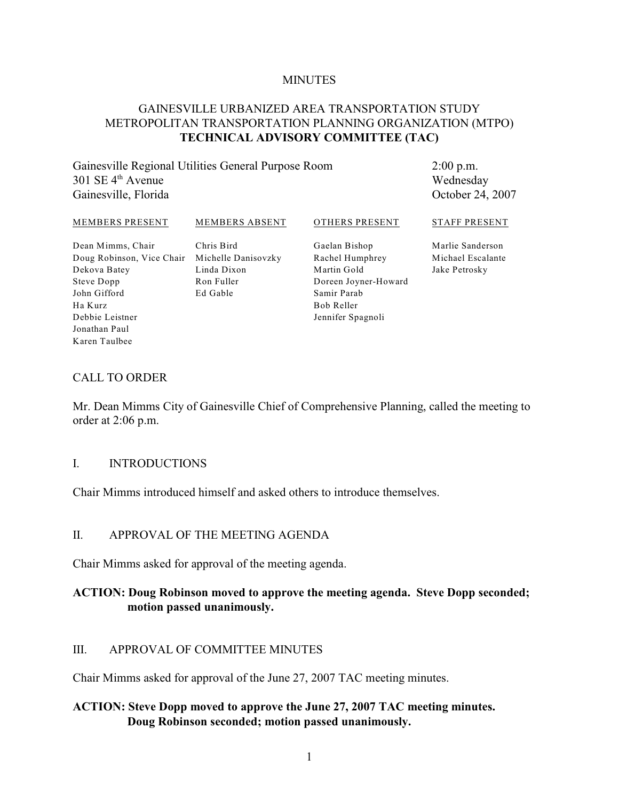#### **MINUTES**

## GAINESVILLE URBANIZED AREA TRANSPORTATION STUDY METROPOLITAN TRANSPORTATION PLANNING ORGANIZATION (MTPO) **TECHNICAL ADVISORY COMMITTEE (TAC)**

Gainesville Regional Utilities General Purpose Room  $301$  SE  $4<sup>th</sup>$  Avenue Gainesville, Florida

2:00 p.m. Wednesday October 24, 2007

#### MEMBERS PRESENT

MEMBERS ABSENT

#### OTHERS PRESENT

Dean Mimms, Chair Doug Robinson, Vice Chair Michelle Danisovzky Dekova Batey Steve Dopp John Gifford Ha Kurz Debbie Leistner Jonathan Paul Karen Taulbee

Chris Bird Linda Dixon Ron Fuller Ed Gable

Gaelan Bishop Rachel Humphrey Martin Gold Doreen Joyner-Howard Samir Parab Bob Reller Jennifer Spagnoli

STAFF PRESENT

Marlie Sanderson Michael Escalante Jake Petrosky

#### CALL TO ORDER

Mr. Dean Mimms City of Gainesville Chief of Comprehensive Planning, called the meeting to order at 2:06 p.m.

#### I. INTRODUCTIONS

Chair Mimms introduced himself and asked others to introduce themselves.

#### II. APPROVAL OF THE MEETING AGENDA

Chair Mimms asked for approval of the meeting agenda.

#### **ACTION: Doug Robinson moved to approve the meeting agenda. Steve Dopp seconded; motion passed unanimously.**

#### III. APPROVAL OF COMMITTEE MINUTES

Chair Mimms asked for approval of the June 27, 2007 TAC meeting minutes.

### **ACTION: Steve Dopp moved to approve the June 27, 2007 TAC meeting minutes. Doug Robinson seconded; motion passed unanimously.**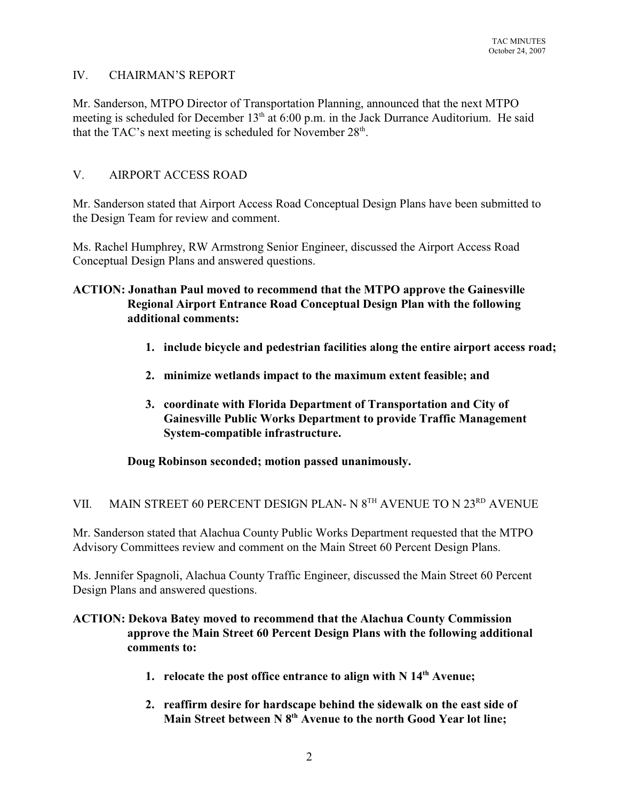# IV. CHAIRMAN'S REPORT

Mr. Sanderson, MTPO Director of Transportation Planning, announced that the next MTPO meeting is scheduled for December  $13<sup>th</sup>$  at 6:00 p.m. in the Jack Durrance Auditorium. He said that the TAC's next meeting is scheduled for November  $28<sup>th</sup>$ .

# V. AIRPORT ACCESS ROAD

Mr. Sanderson stated that Airport Access Road Conceptual Design Plans have been submitted to the Design Team for review and comment.

Ms. Rachel Humphrey, RW Armstrong Senior Engineer, discussed the Airport Access Road Conceptual Design Plans and answered questions.

# **ACTION: Jonathan Paul moved to recommend that the MTPO approve the Gainesville Regional Airport Entrance Road Conceptual Design Plan with the following additional comments:**

- **1. include bicycle and pedestrian facilities along the entire airport access road;**
- **2. minimize wetlands impact to the maximum extent feasible; and**
- **3. coordinate with Florida Department of Transportation and City of Gainesville Public Works Department to provide Traffic Management System-compatible infrastructure.**

**Doug Robinson seconded; motion passed unanimously.**

# VII. MAIN STREET 60 PERCENT DESIGN PLAN- N  $8^{TH}$  AVENUE TO N  $23^{RD}$  AVENUE

Mr. Sanderson stated that Alachua County Public Works Department requested that the MTPO Advisory Committees review and comment on the Main Street 60 Percent Design Plans.

Ms. Jennifer Spagnoli, Alachua County Traffic Engineer, discussed the Main Street 60 Percent Design Plans and answered questions.

# **ACTION: Dekova Batey moved to recommend that the Alachua County Commission approve the Main Street 60 Percent Design Plans with the following additional comments to:**

- **1. relocate the post office entrance to align with**  $N$  $14<sup>th</sup>$  **Avenue;**
- **2. reaffirm desire for hardscape behind the sidewalk on the east side of** Main Street between N 8<sup>th</sup> Avenue to the north Good Year lot line: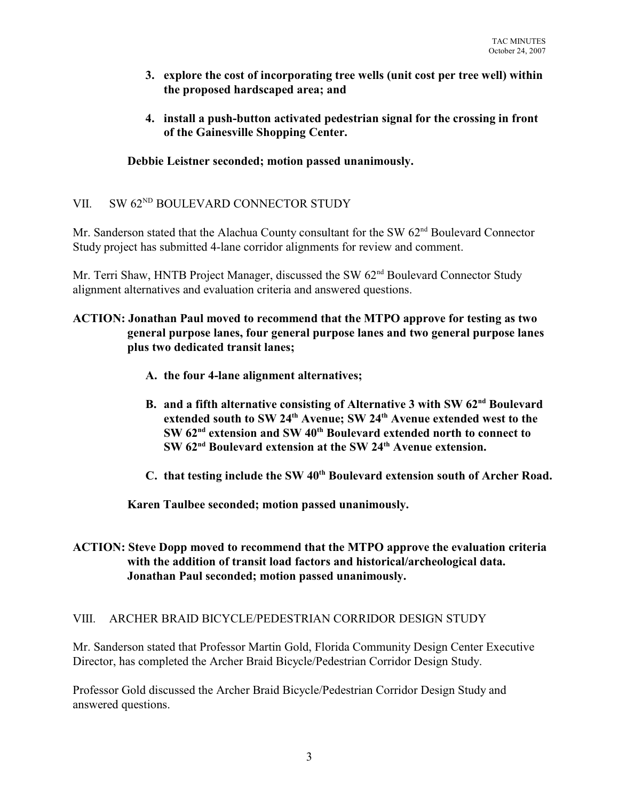- **3. explore the cost of incorporating tree wells (unit cost per tree well) within the proposed hardscaped area; and**
- **4. install a push-button activated pedestrian signal for the crossing in front of the Gainesville Shopping Center.**

# **Debbie Leistner seconded; motion passed unanimously.**

## VII. SW 62<sup>ND</sup> BOULEVARD CONNECTOR STUDY

Mr. Sanderson stated that the Alachua County consultant for the SW 62<sup>nd</sup> Boulevard Connector Study project has submitted 4-lane corridor alignments for review and comment.

Mr. Terri Shaw, HNTB Project Manager, discussed the SW 62<sup>nd</sup> Boulevard Connector Study alignment alternatives and evaluation criteria and answered questions.

## **ACTION: Jonathan Paul moved to recommend that the MTPO approve for testing as two general purpose lanes, four general purpose lanes and two general purpose lanes plus two dedicated transit lanes;**

- **A. the four 4-lane alignment alternatives;**
- **B.** and a fifth alternative consisting of Alternative 3 with SW 62<sup>nd</sup> Boulevard extended south to SW 24<sup>th</sup> Avenue: SW 24<sup>th</sup> Avenue extended west to the **SW**  $62<sup>nd</sup>$  extension and SW  $40<sup>th</sup>$  Boulevard extended north to connect to **SW 62<sup>nd</sup> Boulevard extension at the SW 24<sup>th</sup> Avenue extension.**
- **C.** that testing include the SW 40<sup>th</sup> Boulevard extension south of Archer Road.

**Karen Taulbee seconded; motion passed unanimously.**

## **ACTION: Steve Dopp moved to recommend that the MTPO approve the evaluation criteria with the addition of transit load factors and historical/archeological data. Jonathan Paul seconded; motion passed unanimously.**

## VIII. ARCHER BRAID BICYCLE/PEDESTRIAN CORRIDOR DESIGN STUDY

Mr. Sanderson stated that Professor Martin Gold, Florida Community Design Center Executive Director, has completed the Archer Braid Bicycle/Pedestrian Corridor Design Study.

Professor Gold discussed the Archer Braid Bicycle/Pedestrian Corridor Design Study and answered questions.